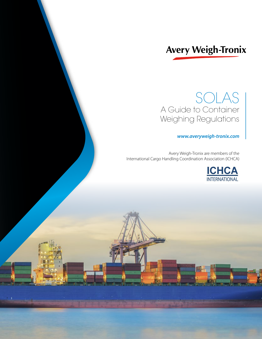# **Avery Weigh-Tronix**

# SOLAS A Guide to Container Weighing Regulations

## *www.averyweigh-tronix.com*

Avery Weigh-Tronix are members of the International Cargo Handling Coordination Association (ICHCA)

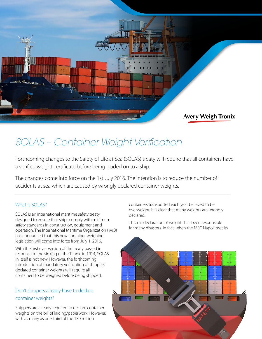

# *SOLAS – Container Weight Verification*

Forthcoming changes to the Safety of Life at Sea (SOLAS) treaty will require that all containers have a verified weight certificate before being loaded on to a ship.

The changes come into force on the 1st July 2016. The intention is to reduce the number of accidents at sea which are caused by wrongly declared container weights.

### What is SOLAS?

SOLAS is an international maritime safety treaty designed to ensure that ships comply with minimum safety standards in construction, equipment and operation. The International Maritime Organization (IMO) has announced that this new container weighing legislation will come into force from July 1, 2016.

With the first ever version of the treaty passed in response to the sinking of the Titanic in 1914, SOLAS in itself is not new. However, the forthcoming introduction of mandatory verification of shippers' declared container weights will require all containers to be weighed before being shipped.

# Don't shippers already have to declare container weights?

Shippers are already required to declare container weights on the bill of laiding/paperwork. However, with as many as one-third of the 130 million

containers transported each year believed to be overweight, it is clear that many weights are wrongly declared.

This misdeclaration of weights has been responsible for many disasters. In fact, when the MSC Napoli met its

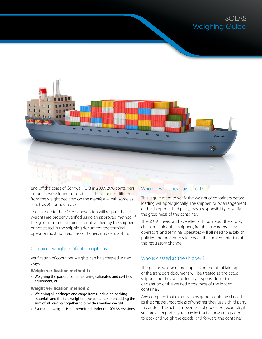# SOLAS Weighing Guide



end off the coast of Cornwall (UK) in 2007, 20% containers on board were found to be at least three tonnes different from the weight declared on the manifest – with some as much as 20 tonnes heavier.

The change to the SOLAS convention will require that all weights are properly verified using an approved method. If the gross mass of containers is not verified by the shipper, or not stated in the shipping document, the terminal operator must not load the containers on board a ship.

### Container weight verification options

Verification of container weights can be achieved in two ways:

#### **Weight verification method 1:**

› Weighing the packed container using calibrated and certified equipment; or

#### **Weight verification method 2**

- › Weighing all packages and cargo items, including packing materials and the tare weight of the container, then adding the sum of all weights together to provide a verified weight.
- › Estimating weights is not permitted under the SOLAS revisions.

### Who does this new law effect?

This requirement to verify the weight of containers before loading will apply globally. The shipper (or by arrangement of the shipper, a third party) has a responsibility to verify the gross mass of the container.

The SOLAS revisions have effects through-out the supply chain, meaning that shippers, freight forwarders, vessel operators, and terminal operators will all need to establish policies and procedures to ensure the implementation of this regulatory change.

### Who is classed as 'the shipper'?

The person whose name appears on the bill of laiding or the transport document will be treated as the actual shipper and they will be legally responsible for the declaration of the verified gross mass of the loaded container.

Any company that exports ships goods could be classed as the 'shipper', regardless of whether they use a third party to conduct the actual movement of goods. For example, if you are an exporter, you may instruct a forwarding agent to pack and weigh the goods, and forward the container